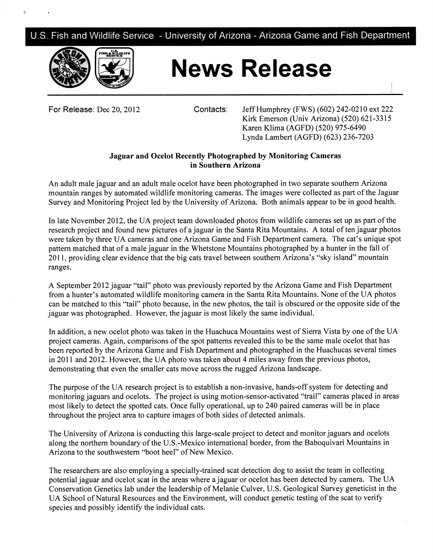U.S. Fish and Wildlife Service - University of Arizona - Arizona Game and Fish Department



## **News Release**

**For Release:** Dec 20, 2012 Contacts: Jeff Humphrey (FWS) (602) 242-0210 ext 222 Kirk Emerson (Univ Arizona) (520) 621-3315 Karen Klima (AGFD) (520) 975-6490 Lynda Lambert (AGFD) (623) 236-7203

## **Jaguar and Ocelot Recently Photographed by Monitoring Cameras in Southern Arizona**

An adult male jaguar and an adult male ocelot have been photographed in two separate southern Arizona mountain ranges by automated wildlife monitoring cameras. The images were collected as part of the Jaguar Survey and Monitoring Project led by the University of Arizona. Both animals appear to be in good health.

In late November 2012, the UA project team downloaded photos from wildlife cameras set up as part of the research project and found new pictures of a jaguar in the Santa Rita Mountains. A total of ten jaguar photos were taken by three UA cameras and one Arizona Game and Fish Department camera. The cat's unique spot pattern matched that of a male jaguar in the Whetstone Mountains photographed by a hunter in the fall of 2011, providing clear evidence that the big cats travel between southern Arizona's "sky island" mountain ranges.

A September 2012 jaguar "tail" photo was previously reported by the Arizona Game and Fish Department from a hunter's automated wildlife monitoring camera in the Santa Rita Mountains. None of the UA photos can be matched to this "tail" photo because, in the new photos, the tail is obscured or the opposite side of the jaguar was photographed. However, the jaguar is most likely the same individual.

In addition, a new ocelot photo was taken in the Huachuca Mountains west of Sierra Vista by one of the UA project cameras. Again, comparisons of the spot patterns revealed this to be the same male ocelot that has been reported by the Arizona Game and Fish Department and photographed in the Huachucas several times in 2011 and 2012. However, the UA photo was taken about 4 miles away from the previous photos, demonstrating that even the smaller cats move across the rugged Arizona landscape.

The purpose of the UA research project is to establish a non-invasive, hands-off system for detecting and monitoring jaguars and ocelots. The project is using motion-sensor-activated "trail" cameras placed in areas most likely to detect the spotted cats. Once fully operational, up to 240 paired cameras will be in place throughout the project area to capture images of both sides of detected animals.

The University of Arizona is conducting this large-scale project to detect and monitor jaguars and ocelots along the northern boundary of the U.S.-Mexico international border, from the Baboquivari Mountains in Arizona to the southwestern "boot heel" of New Mexico.

The researchers are also employing a specially-trained scat detection dog to assist the team in collecting potential jaguar and ocelot scat in the areas where a jaguar or ocelot has been detected by camera. The UA Conservation Genetics lab under the leadership of Melanie Culver, U.S. Geological Survey geneticist in the UA School of Natural Resources and the Environment, will conduct genetic testing of the scat to verify species and possibly identify the individual cats.